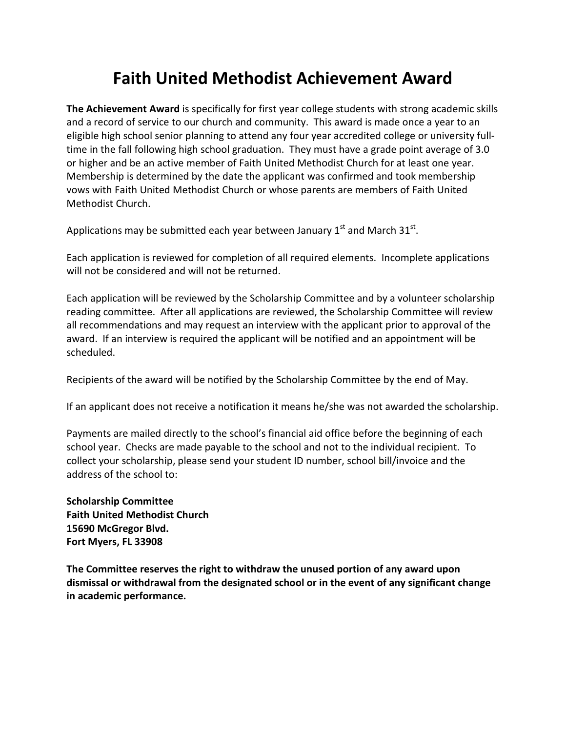## Faith United Methodist Achievement Award

The Achievement Award is specifically for first year college students with strong academic skills and a record of service to our church and community. This award is made once a year to an eligible high school senior planning to attend any four year accredited college or university fulltime in the fall following high school graduation. They must have a grade point average of 3.0 or higher and be an active member of Faith United Methodist Church for at least one year. Membership is determined by the date the applicant was confirmed and took membership vows with Faith United Methodist Church or whose parents are members of Faith United Methodist Church.

Applications may be submitted each year between January 1st and March 31st.

Each application is reviewed for completion of all required elements. Incomplete applications will not be considered and will not be returned.

Each application will be reviewed by the Scholarship Committee and by a volunteer scholarship reading committee. After all applications are reviewed, the Scholarship Committee will review all recommendations and may request an interview with the applicant prior to approval of the award. If an interview is required the applicant will be notified and an appointment will be scheduled.

Recipients of the award will be notified by the Scholarship Committee by the end of May.

If an applicant does not receive a notification it means he/she was not awarded the scholarship.

Payments are mailed directly to the school's financial aid office before the beginning of each school year. Checks are made payable to the school and not to the individual recipient. To collect your scholarship, please send your student ID number, school bill/invoice and the address of the school to:

Scholarship Committee Faith United Methodist Church 15690 McGregor Blvd. Fort Myers, FL 33908

The Committee reserves the right to withdraw the unused portion of any award upon dismissal or withdrawal from the designated school or in the event of any significant change in academic performance.